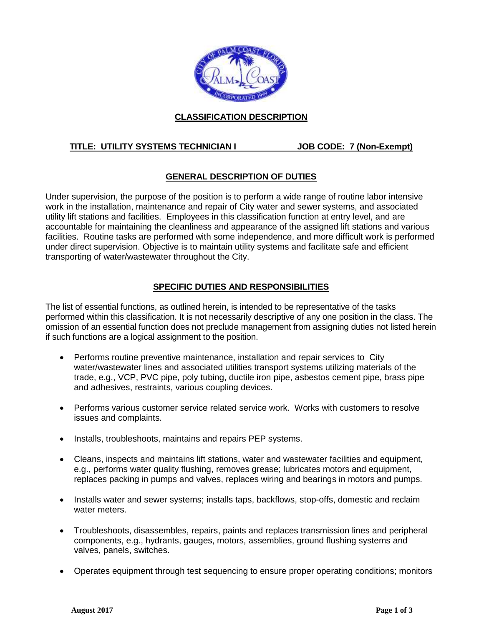

# **CLASSIFICATION DESCRIPTION**

# **TITLE: UTILITY SYSTEMS TECHNICIAN I JOB CODE: 7 (Non-Exempt)**

# **GENERAL DESCRIPTION OF DUTIES**

Under supervision, the purpose of the position is to perform a wide range of routine labor intensive work in the installation, maintenance and repair of City water and sewer systems, and associated utility lift stations and facilities. Employees in this classification function at entry level, and are accountable for maintaining the cleanliness and appearance of the assigned lift stations and various facilities. Routine tasks are performed with some independence, and more difficult work is performed under direct supervision. Objective is to maintain utility systems and facilitate safe and efficient transporting of water/wastewater throughout the City.

## **SPECIFIC DUTIES AND RESPONSIBILITIES**

The list of essential functions, as outlined herein, is intended to be representative of the tasks performed within this classification. It is not necessarily descriptive of any one position in the class. The omission of an essential function does not preclude management from assigning duties not listed herein if such functions are a logical assignment to the position.

- Performs routine preventive maintenance, installation and repair services to City water/wastewater lines and associated utilities transport systems utilizing materials of the trade, e.g., VCP, PVC pipe, poly tubing, ductile iron pipe, asbestos cement pipe, brass pipe and adhesives, restraints, various coupling devices.
- Performs various customer service related service work. Works with customers to resolve issues and complaints.
- Installs, troubleshoots, maintains and repairs PEP systems.
- Cleans, inspects and maintains lift stations, water and wastewater facilities and equipment, e.g., performs water quality flushing, removes grease; lubricates motors and equipment, replaces packing in pumps and valves, replaces wiring and bearings in motors and pumps.
- Installs water and sewer systems; installs taps, backflows, stop-offs, domestic and reclaim water meters.
- Troubleshoots, disassembles, repairs, paints and replaces transmission lines and peripheral components, e.g., hydrants, gauges, motors, assemblies, ground flushing systems and valves, panels, switches.
- Operates equipment through test sequencing to ensure proper operating conditions; monitors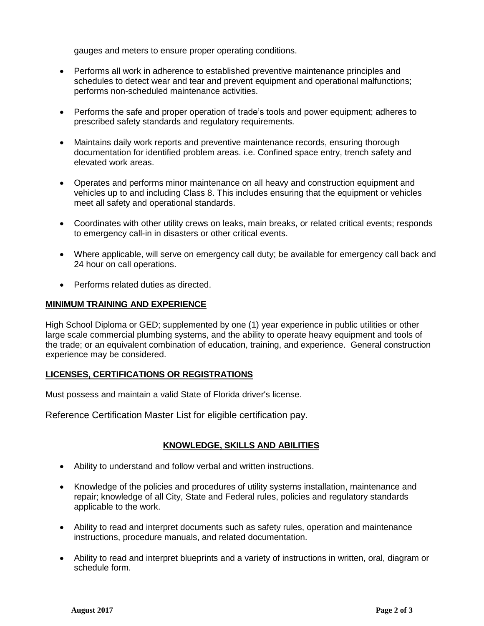gauges and meters to ensure proper operating conditions.

- Performs all work in adherence to established preventive maintenance principles and schedules to detect wear and tear and prevent equipment and operational malfunctions; performs non-scheduled maintenance activities.
- Performs the safe and proper operation of trade's tools and power equipment; adheres to prescribed safety standards and regulatory requirements.
- Maintains daily work reports and preventive maintenance records, ensuring thorough documentation for identified problem areas. i.e. Confined space entry, trench safety and elevated work areas.
- Operates and performs minor maintenance on all heavy and construction equipment and vehicles up to and including Class 8. This includes ensuring that the equipment or vehicles meet all safety and operational standards.
- Coordinates with other utility crews on leaks, main breaks, or related critical events; responds to emergency call-in in disasters or other critical events.
- Where applicable, will serve on emergency call duty; be available for emergency call back and 24 hour on call operations.
- Performs related duties as directed.

#### **MINIMUM TRAINING AND EXPERIENCE**

High School Diploma or GED; supplemented by one (1) year experience in public utilities or other large scale commercial plumbing systems, and the ability to operate heavy equipment and tools of the trade; or an equivalent combination of education, training, and experience. General construction experience may be considered.

### **LICENSES, CERTIFICATIONS OR REGISTRATIONS**

Must possess and maintain a valid State of Florida driver's license.

Reference Certification Master List for eligible certification pay.

### **KNOWLEDGE, SKILLS AND ABILITIES**

- Ability to understand and follow verbal and written instructions.
- Knowledge of the policies and procedures of utility systems installation, maintenance and repair; knowledge of all City, State and Federal rules, policies and regulatory standards applicable to the work.
- Ability to read and interpret documents such as safety rules, operation and maintenance instructions, procedure manuals, and related documentation.
- Ability to read and interpret blueprints and a variety of instructions in written, oral, diagram or schedule form.